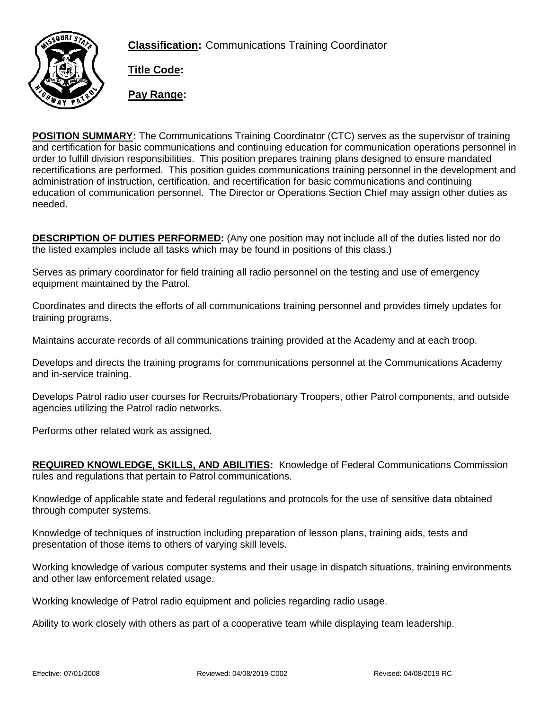**Classification:** Communications Training Coordinator



**Title Code:**

**Pay Range:**

**POSITION SUMMARY:** The Communications Training Coordinator (CTC) serves as the supervisor of training and certification for basic communications and continuing education for communication operations personnel in order to fulfill division responsibilities. This position prepares training plans designed to ensure mandated recertifications are performed. This position guides communications training personnel in the development and administration of instruction, certification, and recertification for basic communications and continuing education of communication personnel. The Director or Operations Section Chief may assign other duties as needed.

**DESCRIPTION OF DUTIES PERFORMED:** (Any one position may not include all of the duties listed nor do the listed examples include all tasks which may be found in positions of this class.)

Serves as primary coordinator for field training all radio personnel on the testing and use of emergency equipment maintained by the Patrol.

Coordinates and directs the efforts of all communications training personnel and provides timely updates for training programs.

Maintains accurate records of all communications training provided at the Academy and at each troop.

Develops and directs the training programs for communications personnel at the Communications Academy and in-service training.

Develops Patrol radio user courses for Recruits/Probationary Troopers, other Patrol components, and outside agencies utilizing the Patrol radio networks.

Performs other related work as assigned.

**REQUIRED KNOWLEDGE, SKILLS, AND ABILITIES:** Knowledge of Federal Communications Commission rules and regulations that pertain to Patrol communications.

Knowledge of applicable state and federal regulations and protocols for the use of sensitive data obtained through computer systems.

Knowledge of techniques of instruction including preparation of lesson plans, training aids, tests and presentation of those items to others of varying skill levels.

Working knowledge of various computer systems and their usage in dispatch situations, training environments and other law enforcement related usage.

Working knowledge of Patrol radio equipment and policies regarding radio usage.

Ability to work closely with others as part of a cooperative team while displaying team leadership.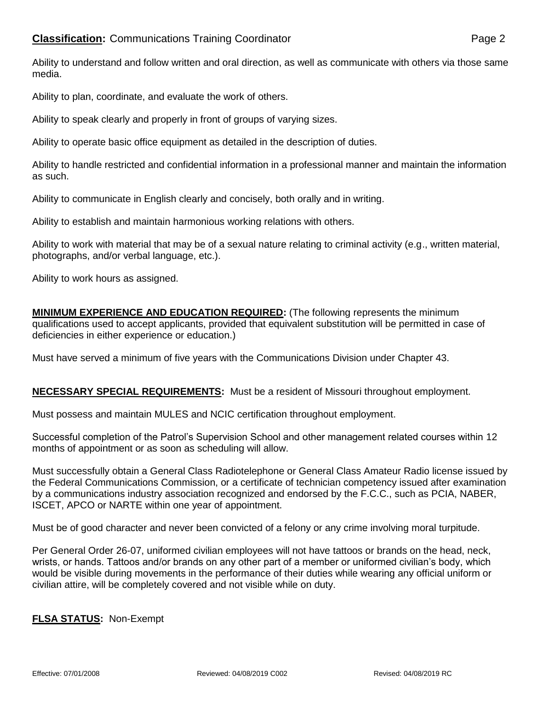Ability to understand and follow written and oral direction, as well as communicate with others via those same media.

Ability to plan, coordinate, and evaluate the work of others.

Ability to speak clearly and properly in front of groups of varying sizes.

Ability to operate basic office equipment as detailed in the description of duties.

Ability to handle restricted and confidential information in a professional manner and maintain the information as such.

Ability to communicate in English clearly and concisely, both orally and in writing.

Ability to establish and maintain harmonious working relations with others.

Ability to work with material that may be of a sexual nature relating to criminal activity (e.g., written material, photographs, and/or verbal language, etc.).

Ability to work hours as assigned.

**MINIMUM EXPERIENCE AND EDUCATION REQUIRED:** (The following represents the minimum qualifications used to accept applicants, provided that equivalent substitution will be permitted in case of deficiencies in either experience or education.)

Must have served a minimum of five years with the Communications Division under Chapter 43.

## **NECESSARY SPECIAL REQUIREMENTS:** Must be a resident of Missouri throughout employment.

Must possess and maintain MULES and NCIC certification throughout employment.

Successful completion of the Patrol's Supervision School and other management related courses within 12 months of appointment or as soon as scheduling will allow.

Must successfully obtain a General Class Radiotelephone or General Class Amateur Radio license issued by the Federal Communications Commission, or a certificate of technician competency issued after examination by a communications industry association recognized and endorsed by the F.C.C., such as PCIA, NABER, ISCET, APCO or NARTE within one year of appointment.

Must be of good character and never been convicted of a felony or any crime involving moral turpitude.

Per General Order 26-07, uniformed civilian employees will not have tattoos or brands on the head, neck, wrists, or hands. Tattoos and/or brands on any other part of a member or uniformed civilian's body, which would be visible during movements in the performance of their duties while wearing any official uniform or civilian attire, will be completely covered and not visible while on duty.

## **FLSA STATUS:** Non-Exempt